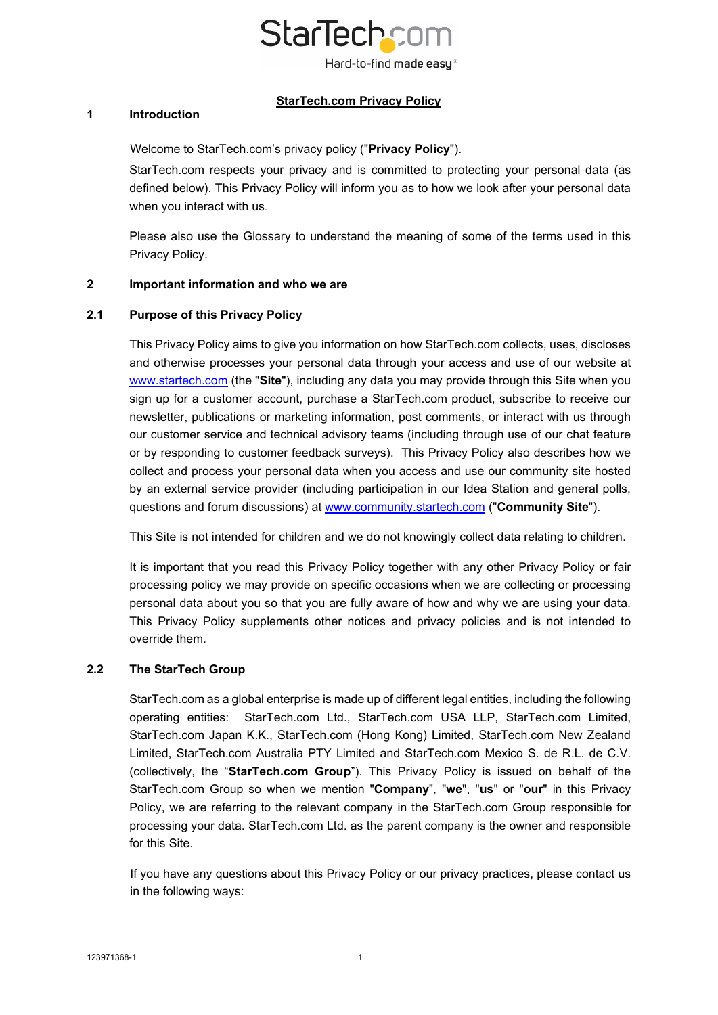

Hard-to-find made easy®

### **StarTech.com Privacy Policy**

#### **1 Introduction**

Welcome to StarTech.com's privacy policy ("**Privacy Policy**").

StarTech.com respects your privacy and is committed to protecting your personal data (as defined below). This Privacy Policy will inform you as to how we look after your personal data when you interact with us.

Please also use the Glossary to understand the meaning of some of the terms used in this Privacy Policy.

## **2 Important information and who we are**

#### **2.1 Purpose of this Privacy Policy**

This Privacy Policy aims to give you information on how StarTech.com collects, uses, discloses and otherwise processes your personal data through your access and use of our website at [www.startech.com](http://www.startech.com/) (the "**Site**"), including any data you may provide through this Site when you sign up for a customer account, purchase a StarTech.com product, subscribe to receive our newsletter, publications or marketing information, post comments, or interact with us through our customer service and technical advisory teams (including through use of our chat feature or by responding to customer feedback surveys). This Privacy Policy also describes how we collect and process your personal data when you access and use our community site hosted by an external service provider (including participation in our Idea Station and general polls, questions and forum discussions) at [www.community.startech.com](http://www.community.startech.com/) ("**Community Site**").

This Site is not intended for children and we do not knowingly collect data relating to children.

It is important that you read this Privacy Policy together with any other Privacy Policy or fair processing policy we may provide on specific occasions when we are collecting or processing personal data about you so that you are fully aware of how and why we are using your data. This Privacy Policy supplements other notices and privacy policies and is not intended to override them.

## **2.2 The StarTech Group**

StarTech.com as a global enterprise is made up of different legal entities, including the following operating entities: StarTech.com Ltd., StarTech.com USA LLP, StarTech.com Limited, StarTech.com Japan K.K., StarTech.com (Hong Kong) Limited, StarTech.com New Zealand Limited, StarTech.com Australia PTY Limited and StarTech.com Mexico S. de R.L. de C.V. (collectively, the "**StarTech.com Group**"). This Privacy Policy is issued on behalf of the StarTech.com Group so when we mention "**Company**", "**we**", "**us**" or "**our**" in this Privacy Policy, we are referring to the relevant company in the StarTech.com Group responsible for processing your data. StarTech.com Ltd. as the parent company is the owner and responsible for this Site.

If you have any questions about this Privacy Policy or our privacy practices, please contact us in the following ways: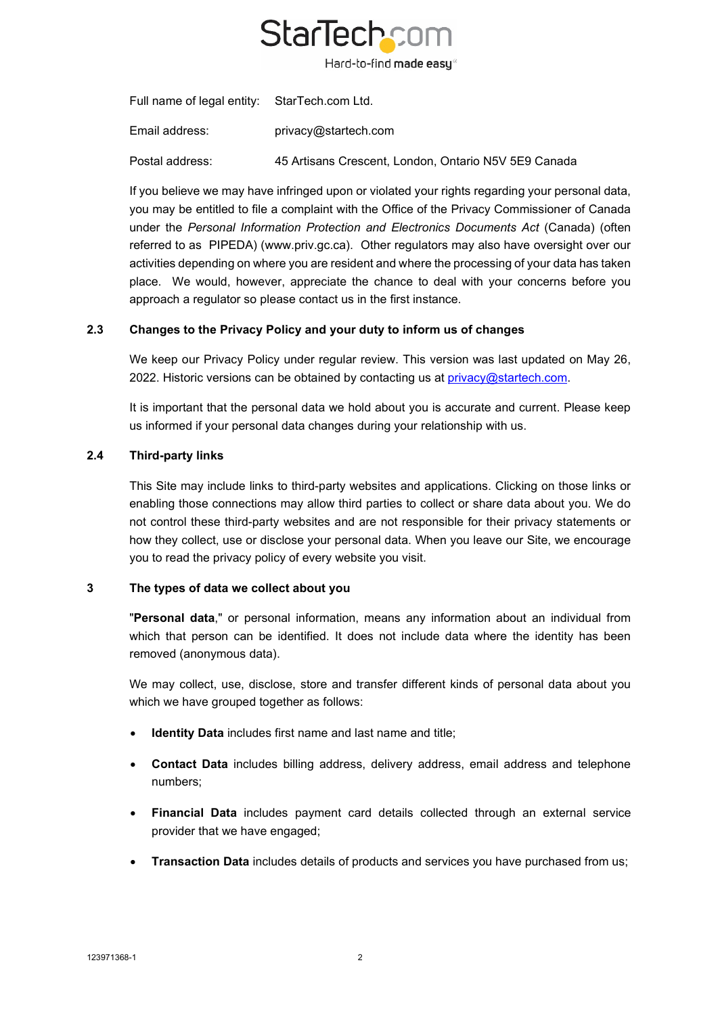

Hard-to-find made easu®

Full name of legal entity: StarTech.com Ltd. Email address: privacy@startech.com Postal address: 45 Artisans Crescent, London, Ontario N5V 5E9 Canada

If you believe we may have infringed upon or violated your rights regarding your personal data, you may be entitled to file a complaint with the Office of the Privacy Commissioner of Canada under the *Personal Information Protection and Electronics Documents Act* (Canada) (often referred to as PIPEDA) (www.priv.gc.ca). Other regulators may also have oversight over our activities depending on where you are resident and where the processing of your data has taken place. We would, however, appreciate the chance to deal with your concerns before you approach a regulator so please contact us in the first instance.

#### **2.3 Changes to the Privacy Policy and your duty to inform us of changes**

We keep our Privacy Policy under regular review. This version was last updated on May 26, 2022. Historic versions can be obtained by contacting us at [privacy@startech.com.](mailto:privacy@startech.com)

It is important that the personal data we hold about you is accurate and current. Please keep us informed if your personal data changes during your relationship with us.

## **2.4 Third-party links**

This Site may include links to third-party websites and applications. Clicking on those links or enabling those connections may allow third parties to collect or share data about you. We do not control these third-party websites and are not responsible for their privacy statements or how they collect, use or disclose your personal data. When you leave our Site, we encourage you to read the privacy policy of every website you visit.

## **3 The types of data we collect about you**

"**Personal data**," or personal information, means any information about an individual from which that person can be identified. It does not include data where the identity has been removed (anonymous data).

We may collect, use, disclose, store and transfer different kinds of personal data about you which we have grouped together as follows:

- **Identity Data** includes first name and last name and title;
- **Contact Data** includes billing address, delivery address, email address and telephone numbers;
- **Financial Data** includes payment card details collected through an external service provider that we have engaged;
- **Transaction Data** includes details of products and services you have purchased from us;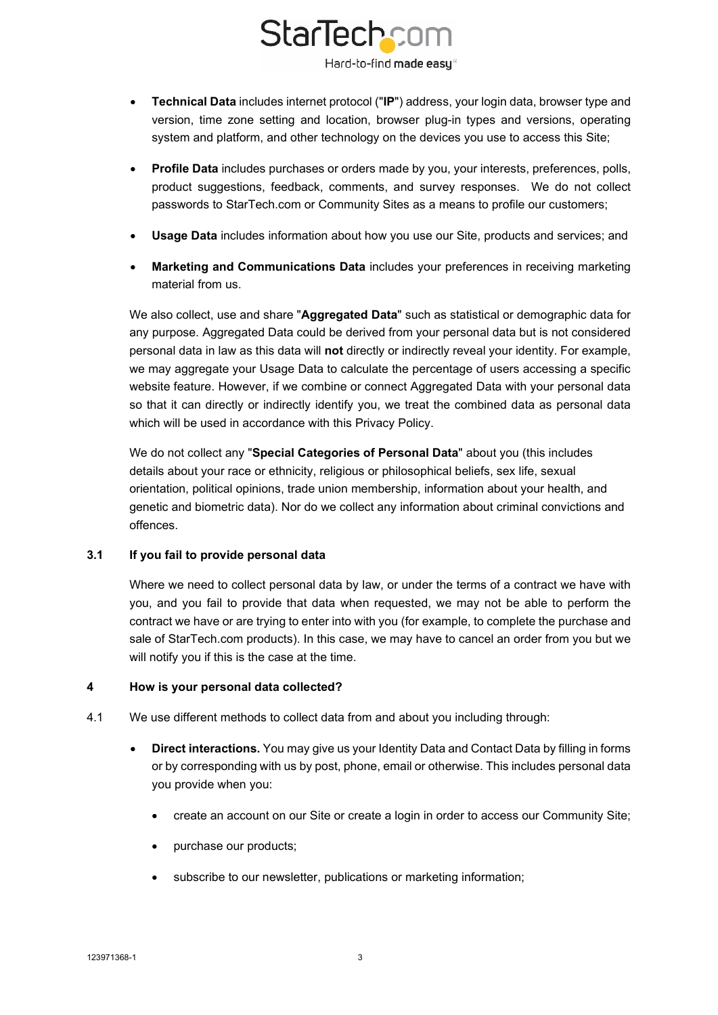# **StarTechc**

Hard-to-find made easy®

- **Technical Data** includes internet protocol ("**IP**") address, your login data, browser type and version, time zone setting and location, browser plug-in types and versions, operating system and platform, and other technology on the devices you use to access this Site;
- **Profile Data** includes purchases or orders made by you, your interests, preferences, polls, product suggestions, feedback, comments, and survey responses. We do not collect passwords to StarTech.com or Community Sites as a means to profile our customers;
- **Usage Data** includes information about how you use our Site, products and services; and
- **Marketing and Communications Data** includes your preferences in receiving marketing material from us.

We also collect, use and share "**Aggregated Data**" such as statistical or demographic data for any purpose. Aggregated Data could be derived from your personal data but is not considered personal data in law as this data will **not** directly or indirectly reveal your identity. For example, we may aggregate your Usage Data to calculate the percentage of users accessing a specific website feature. However, if we combine or connect Aggregated Data with your personal data so that it can directly or indirectly identify you, we treat the combined data as personal data which will be used in accordance with this Privacy Policy.

We do not collect any "**Special Categories of Personal Data**" about you (this includes details about your race or ethnicity, religious or philosophical beliefs, sex life, sexual orientation, political opinions, trade union membership, information about your health, and genetic and biometric data). Nor do we collect any information about criminal convictions and offences.

## **3.1 If you fail to provide personal data**

Where we need to collect personal data by law, or under the terms of a contract we have with you, and you fail to provide that data when requested, we may not be able to perform the contract we have or are trying to enter into with you (for example, to complete the purchase and sale of StarTech.com products). In this case, we may have to cancel an order from you but we will notify you if this is the case at the time.

## **4 How is your personal data collected?**

- 4.1 We use different methods to collect data from and about you including through:
	- **Direct interactions.** You may give us your Identity Data and Contact Data by filling in forms or by corresponding with us by post, phone, email or otherwise. This includes personal data you provide when you:
		- create an account on our Site or create a login in order to access our Community Site;
		- purchase our products;
		- subscribe to our newsletter, publications or marketing information;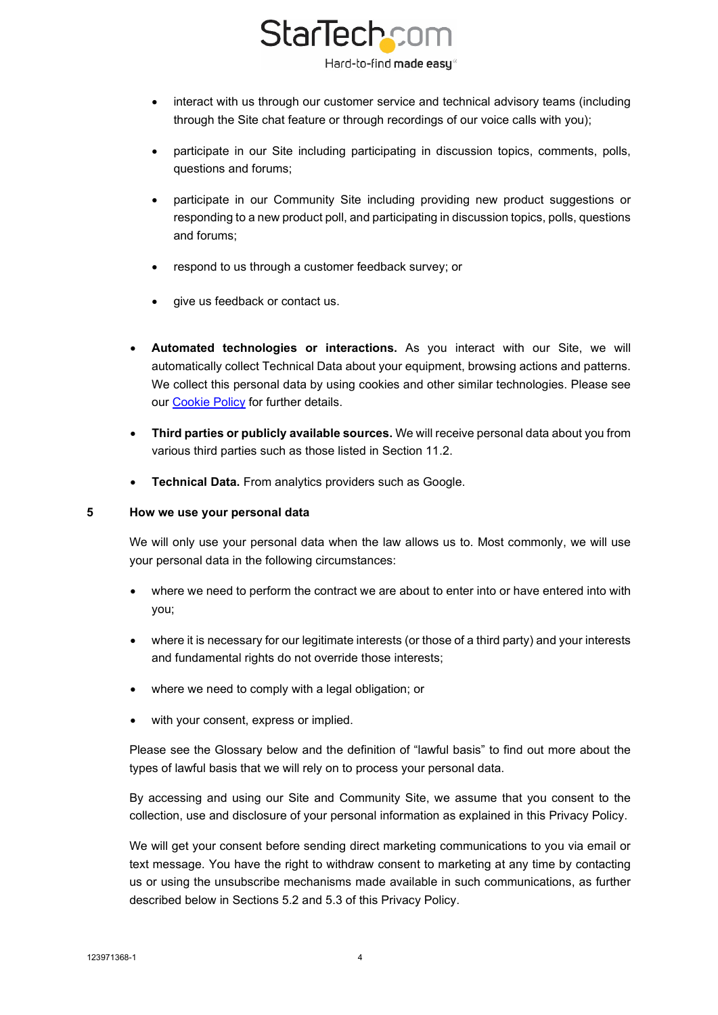

Hard-to-find made easy®

- interact with us through our customer service and technical advisory teams (including through the Site chat feature or through recordings of our voice calls with you);
- participate in our Site including participating in discussion topics, comments, polls, questions and forums;
- participate in our Community Site including providing new product suggestions or responding to a new product poll, and participating in discussion topics, polls, questions and forums;
- respond to us through a customer feedback survey; or
- give us feedback or contact us.
- **Automated technologies or interactions.** As you interact with our Site, we will automatically collect Technical Data about your equipment, browsing actions and patterns. We collect this personal data by using cookies and other similar technologies. Please see our **Cookie Policy** for further details.
- **Third parties or publicly available sources.** We will receive personal data about you from various third parties such as those listed in Section 11.2.
- **Technical Data.** From analytics providers such as Google.

#### **5 How we use your personal data**

We will only use your personal data when the law allows us to. Most commonly, we will use your personal data in the following circumstances:

- where we need to perform the contract we are about to enter into or have entered into with you;
- where it is necessary for our legitimate interests (or those of a third party) and your interests and fundamental rights do not override those interests;
- where we need to comply with a legal obligation; or
- with your consent, express or implied.

Please see the Glossary below and the definition of "lawful basis" to find out more about the types of lawful basis that we will rely on to process your personal data.

By accessing and using our Site and Community Site, we assume that you consent to the collection, use and disclosure of your personal information as explained in this Privacy Policy.

We will get your consent before sending direct marketing communications to you via email or text message. You have the right to withdraw consent to marketing at any time by contacting us or using the unsubscribe mechanisms made available in such communications, as further described below in Sections 5.2 and 5.3 of this Privacy Policy.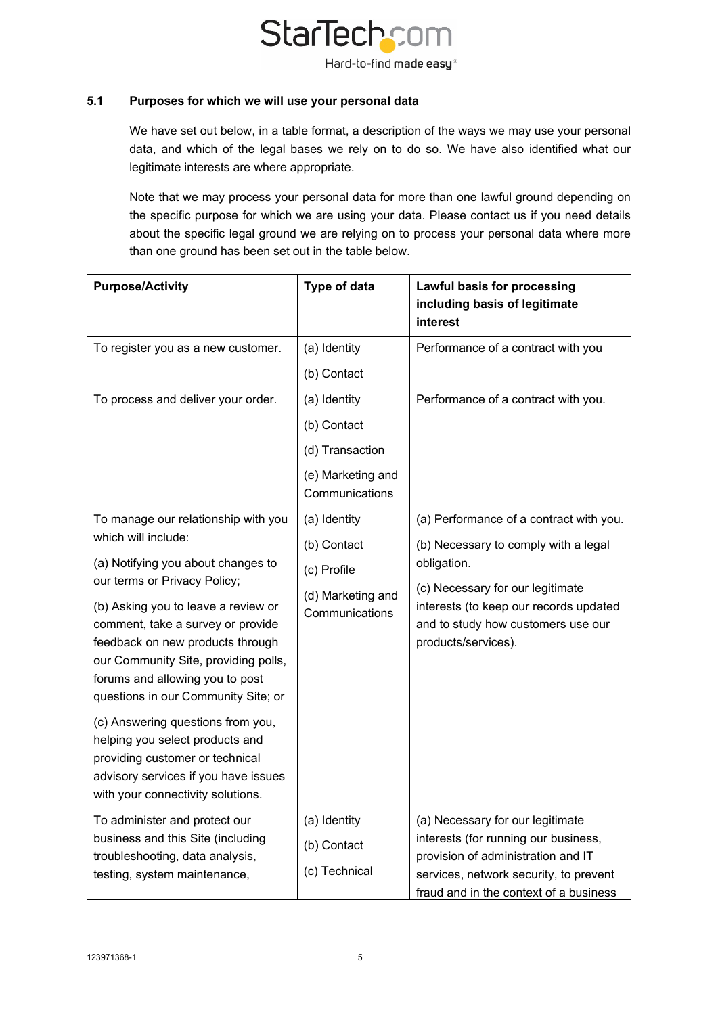## **StarTechc**

Hard-to-find made easy®

## **5.1 Purposes for which we will use your personal data**

We have set out below, in a table format, a description of the ways we may use your personal data, and which of the legal bases we rely on to do so. We have also identified what our legitimate interests are where appropriate.

Note that we may process your personal data for more than one lawful ground depending on the specific purpose for which we are using your data. Please contact us if you need details about the specific legal ground we are relying on to process your personal data where more than one ground has been set out in the table below.

| <b>Purpose/Activity</b>                                                                                                                                                                                                                                                                                                                                                                                                                                                                                                                                    | Type of data                                                                          | Lawful basis for processing<br>including basis of legitimate<br>interest                                                                                                                                                                  |
|------------------------------------------------------------------------------------------------------------------------------------------------------------------------------------------------------------------------------------------------------------------------------------------------------------------------------------------------------------------------------------------------------------------------------------------------------------------------------------------------------------------------------------------------------------|---------------------------------------------------------------------------------------|-------------------------------------------------------------------------------------------------------------------------------------------------------------------------------------------------------------------------------------------|
| To register you as a new customer.                                                                                                                                                                                                                                                                                                                                                                                                                                                                                                                         | (a) Identity<br>(b) Contact                                                           | Performance of a contract with you                                                                                                                                                                                                        |
| To process and deliver your order.                                                                                                                                                                                                                                                                                                                                                                                                                                                                                                                         | (a) Identity<br>(b) Contact<br>(d) Transaction<br>(e) Marketing and<br>Communications | Performance of a contract with you.                                                                                                                                                                                                       |
| To manage our relationship with you<br>which will include:<br>(a) Notifying you about changes to<br>our terms or Privacy Policy;<br>(b) Asking you to leave a review or<br>comment, take a survey or provide<br>feedback on new products through<br>our Community Site, providing polls,<br>forums and allowing you to post<br>questions in our Community Site; or<br>(c) Answering questions from you,<br>helping you select products and<br>providing customer or technical<br>advisory services if you have issues<br>with your connectivity solutions. | (a) Identity<br>(b) Contact<br>(c) Profile<br>(d) Marketing and<br>Communications     | (a) Performance of a contract with you.<br>(b) Necessary to comply with a legal<br>obligation.<br>(c) Necessary for our legitimate<br>interests (to keep our records updated<br>and to study how customers use our<br>products/services). |
| To administer and protect our<br>business and this Site (including<br>troubleshooting, data analysis,<br>testing, system maintenance,                                                                                                                                                                                                                                                                                                                                                                                                                      | (a) Identity<br>(b) Contact<br>(c) Technical                                          | (a) Necessary for our legitimate<br>interests (for running our business,<br>provision of administration and IT<br>services, network security, to prevent<br>fraud and in the context of a business                                        |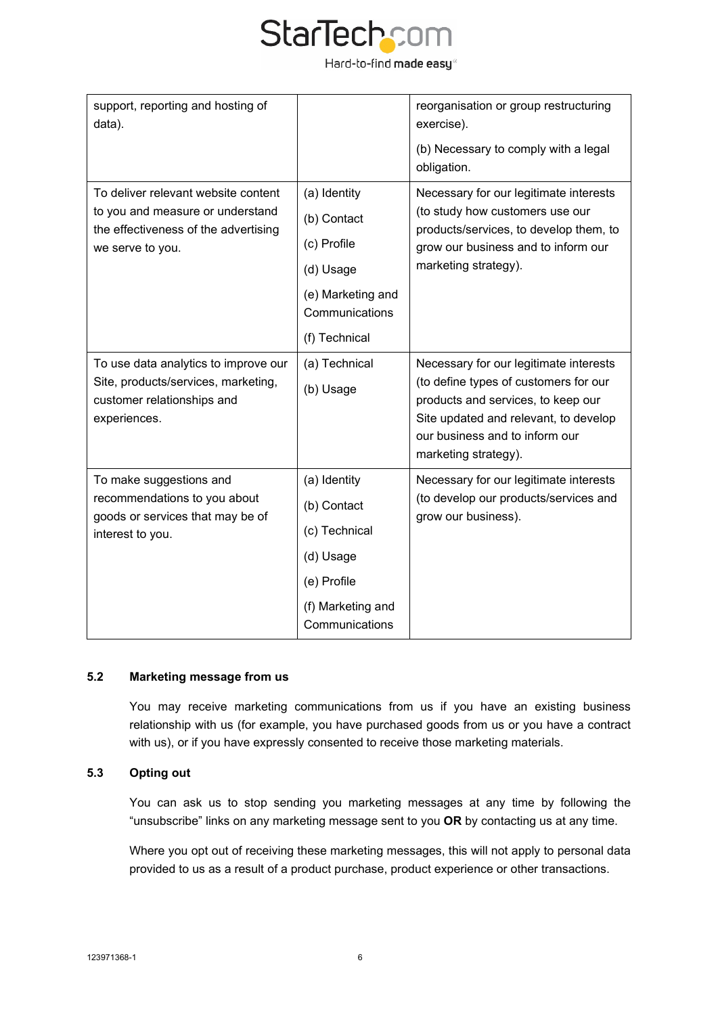# **StarTechs**

## Hard-to-find made easy®

| support, reporting and hosting of<br>data).                                                                                         |                                     | reorganisation or group restructuring<br>exercise).                                                                                                                                |
|-------------------------------------------------------------------------------------------------------------------------------------|-------------------------------------|------------------------------------------------------------------------------------------------------------------------------------------------------------------------------------|
|                                                                                                                                     |                                     | (b) Necessary to comply with a legal<br>obligation.                                                                                                                                |
| To deliver relevant website content<br>to you and measure or understand<br>the effectiveness of the advertising<br>we serve to you. | (a) Identity                        | Necessary for our legitimate interests<br>(to study how customers use our<br>products/services, to develop them, to<br>grow our business and to inform our<br>marketing strategy). |
|                                                                                                                                     | (b) Contact                         |                                                                                                                                                                                    |
|                                                                                                                                     | (c) Profile                         |                                                                                                                                                                                    |
|                                                                                                                                     | (d) Usage                           |                                                                                                                                                                                    |
|                                                                                                                                     | (e) Marketing and                   |                                                                                                                                                                                    |
|                                                                                                                                     | Communications                      |                                                                                                                                                                                    |
|                                                                                                                                     | (f) Technical                       |                                                                                                                                                                                    |
| To use data analytics to improve our                                                                                                | (a) Technical                       | Necessary for our legitimate interests                                                                                                                                             |
| Site, products/services, marketing,                                                                                                 | (b) Usage                           | (to define types of customers for our                                                                                                                                              |
| customer relationships and<br>experiences.                                                                                          |                                     | products and services, to keep our<br>Site updated and relevant, to develop                                                                                                        |
|                                                                                                                                     |                                     | our business and to inform our                                                                                                                                                     |
|                                                                                                                                     |                                     | marketing strategy).                                                                                                                                                               |
| To make suggestions and<br>recommendations to you about<br>goods or services that may be of<br>interest to you.                     | (a) Identity                        | Necessary for our legitimate interests                                                                                                                                             |
|                                                                                                                                     | (b) Contact                         | (to develop our products/services and<br>grow our business).                                                                                                                       |
|                                                                                                                                     | (c) Technical                       |                                                                                                                                                                                    |
|                                                                                                                                     | (d) Usage                           |                                                                                                                                                                                    |
|                                                                                                                                     | (e) Profile                         |                                                                                                                                                                                    |
|                                                                                                                                     | (f) Marketing and<br>Communications |                                                                                                                                                                                    |

## **5.2 Marketing message from us**

You may receive marketing communications from us if you have an existing business relationship with us (for example, you have purchased goods from us or you have a contract with us), or if you have expressly consented to receive those marketing materials.

## **5.3 Opting out**

You can ask us to stop sending you marketing messages at any time by following the "unsubscribe" links on any marketing message sent to you **OR** by contacting us at any time.

Where you opt out of receiving these marketing messages, this will not apply to personal data provided to us as a result of a product purchase, product experience or other transactions.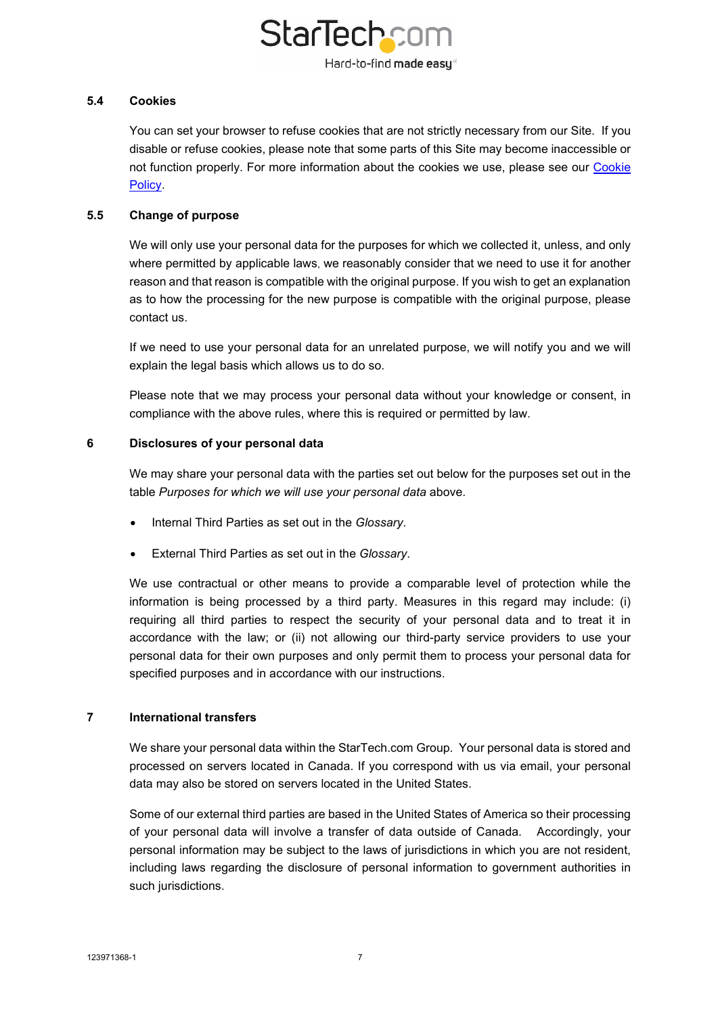# **StarTecho**

Hard-to-find made easu®

#### **5.4 Cookies**

You can set your browser to refuse cookies that are not strictly necessary from our Site. If you disable or refuse cookies, please note that some parts of this Site may become inaccessible or not function properly. For more information about the cookies we use, please see our [Cookie](https://www.iubenda.com/privacy-policy/341725/cookie-policy)  [Policy.](https://www.iubenda.com/privacy-policy/341725/cookie-policy)

## **5.5 Change of purpose**

We will only use your personal data for the purposes for which we collected it, unless, and only where permitted by applicable laws, we reasonably consider that we need to use it for another reason and that reason is compatible with the original purpose. If you wish to get an explanation as to how the processing for the new purpose is compatible with the original purpose, please contact us.

If we need to use your personal data for an unrelated purpose, we will notify you and we will explain the legal basis which allows us to do so.

Please note that we may process your personal data without your knowledge or consent, in compliance with the above rules, where this is required or permitted by law.

#### **6 Disclosures of your personal data**

We may share your personal data with the parties set out below for the purposes set out in the table *Purposes for which we will use your personal data* above.

- Internal Third Parties as set out in the *Glossary*.
- External Third Parties as set out in the *Glossary*.

We use contractual or other means to provide a comparable level of protection while the information is being processed by a third party. Measures in this regard may include: (i) requiring all third parties to respect the security of your personal data and to treat it in accordance with the law; or (ii) not allowing our third-party service providers to use your personal data for their own purposes and only permit them to process your personal data for specified purposes and in accordance with our instructions.

#### **7 International transfers**

We share your personal data within the StarTech.com Group. Your personal data is stored and processed on servers located in Canada. If you correspond with us via email, your personal data may also be stored on servers located in the United States.

Some of our external third parties are based in the United States of America so their processing of your personal data will involve a transfer of data outside of Canada. Accordingly, your personal information may be subject to the laws of jurisdictions in which you are not resident, including laws regarding the disclosure of personal information to government authorities in such jurisdictions.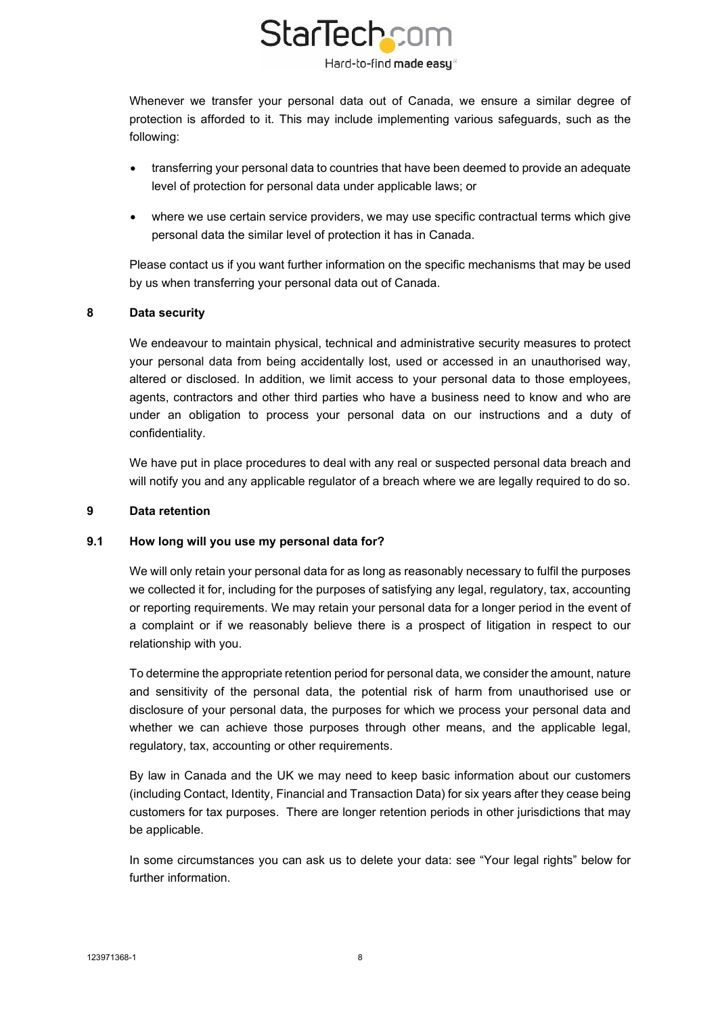Hard-to-find made easy®

Whenever we transfer your personal data out of Canada, we ensure a similar degree of protection is afforded to it. This may include implementing various safeguards, such as the following:

- transferring your personal data to countries that have been deemed to provide an adequate level of protection for personal data under applicable laws; or
- where we use certain service providers, we may use specific contractual terms which give personal data the similar level of protection it has in Canada.

Please contact us if you want further information on the specific mechanisms that may be used by us when transferring your personal data out of Canada.

#### **8 Data security**

We endeavour to maintain physical, technical and administrative security measures to protect your personal data from being accidentally lost, used or accessed in an unauthorised way, altered or disclosed. In addition, we limit access to your personal data to those employees, agents, contractors and other third parties who have a business need to know and who are under an obligation to process your personal data on our instructions and a duty of confidentiality.

We have put in place procedures to deal with any real or suspected personal data breach and will notify you and any applicable regulator of a breach where we are legally required to do so.

#### **9 Data retention**

#### **9.1 How long will you use my personal data for?**

We will only retain your personal data for as long as reasonably necessary to fulfil the purposes we collected it for, including for the purposes of satisfying any legal, regulatory, tax, accounting or reporting requirements. We may retain your personal data for a longer period in the event of a complaint or if we reasonably believe there is a prospect of litigation in respect to our relationship with you.

To determine the appropriate retention period for personal data, we consider the amount, nature and sensitivity of the personal data, the potential risk of harm from unauthorised use or disclosure of your personal data, the purposes for which we process your personal data and whether we can achieve those purposes through other means, and the applicable legal, regulatory, tax, accounting or other requirements.

By law in Canada and the UK we may need to keep basic information about our customers (including Contact, Identity, Financial and Transaction Data) for six years after they cease being customers for tax purposes. There are longer retention periods in other jurisdictions that may be applicable.

In some circumstances you can ask us to delete your data: see "Your legal rights" below for further information.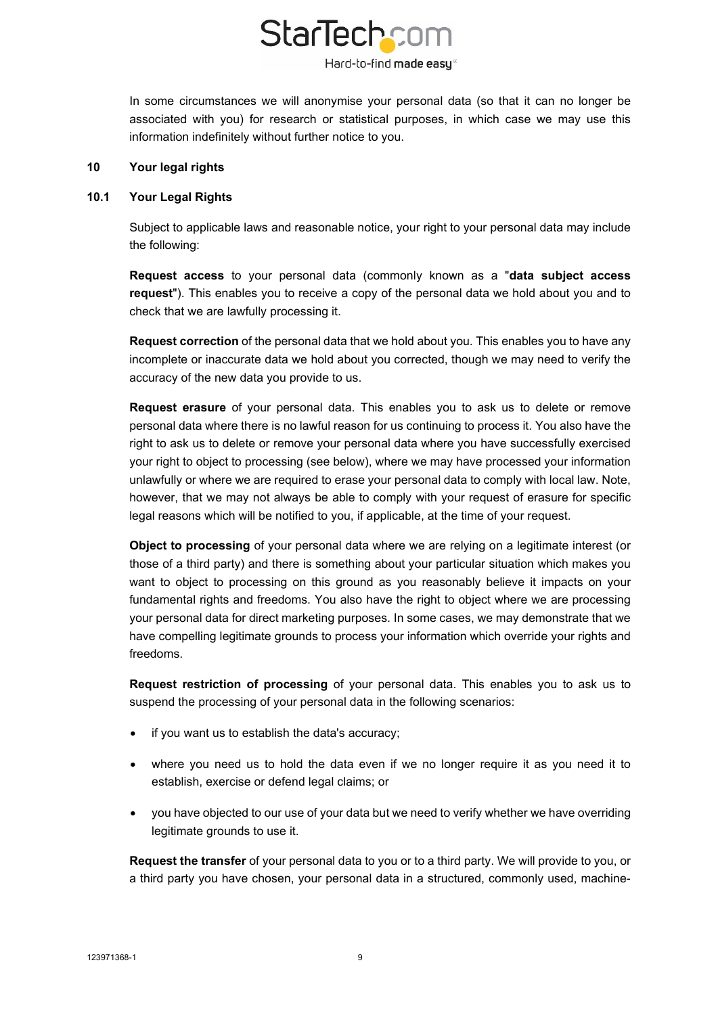Hard-to-find made easy®

In some circumstances we will anonymise your personal data (so that it can no longer be associated with you) for research or statistical purposes, in which case we may use this information indefinitely without further notice to you.

## **10 Your legal rights**

### **10.1 Your Legal Rights**

Subject to applicable laws and reasonable notice, your right to your personal data may include the following:

**Request access** to your personal data (commonly known as a "**data subject access request**"). This enables you to receive a copy of the personal data we hold about you and to check that we are lawfully processing it.

**Request correction** of the personal data that we hold about you. This enables you to have any incomplete or inaccurate data we hold about you corrected, though we may need to verify the accuracy of the new data you provide to us.

**Request erasure** of your personal data. This enables you to ask us to delete or remove personal data where there is no lawful reason for us continuing to process it. You also have the right to ask us to delete or remove your personal data where you have successfully exercised your right to object to processing (see below), where we may have processed your information unlawfully or where we are required to erase your personal data to comply with local law. Note, however, that we may not always be able to comply with your request of erasure for specific legal reasons which will be notified to you, if applicable, at the time of your request.

**Object to processing** of your personal data where we are relying on a legitimate interest (or those of a third party) and there is something about your particular situation which makes you want to object to processing on this ground as you reasonably believe it impacts on your fundamental rights and freedoms. You also have the right to object where we are processing your personal data for direct marketing purposes. In some cases, we may demonstrate that we have compelling legitimate grounds to process your information which override your rights and freedoms.

**Request restriction of processing** of your personal data. This enables you to ask us to suspend the processing of your personal data in the following scenarios:

- if you want us to establish the data's accuracy;
- where you need us to hold the data even if we no longer require it as you need it to establish, exercise or defend legal claims; or
- you have objected to our use of your data but we need to verify whether we have overriding legitimate grounds to use it.

**Request the transfer** of your personal data to you or to a third party. We will provide to you, or a third party you have chosen, your personal data in a structured, commonly used, machine-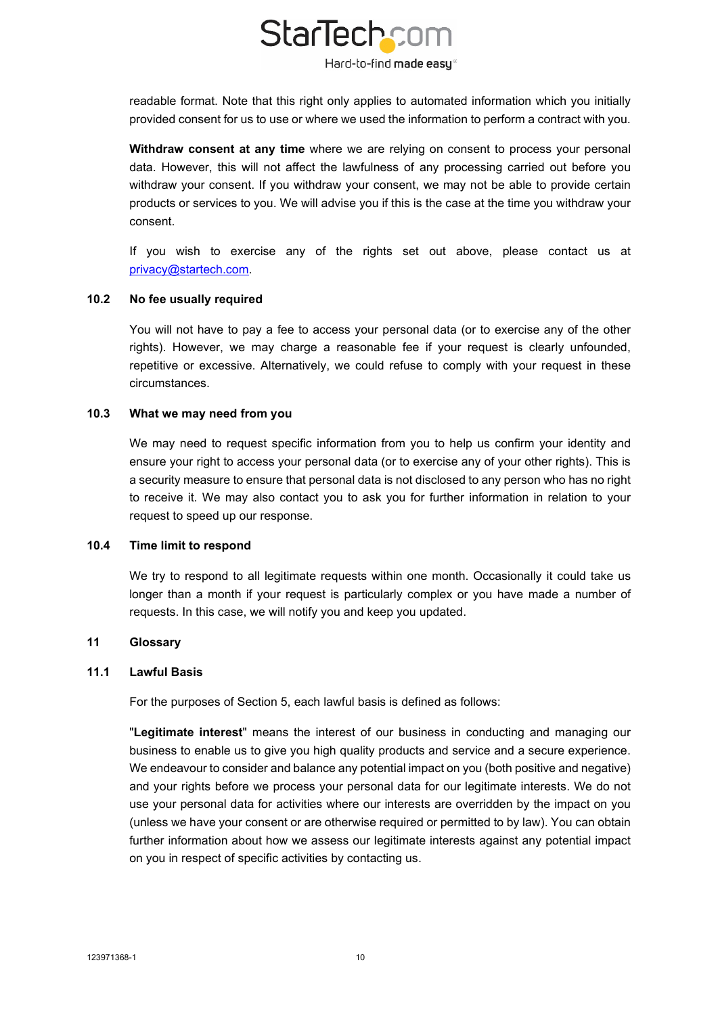Hard-to-find made easy®

readable format. Note that this right only applies to automated information which you initially provided consent for us to use or where we used the information to perform a contract with you.

**Withdraw consent at any time** where we are relying on consent to process your personal data. However, this will not affect the lawfulness of any processing carried out before you withdraw your consent. If you withdraw your consent, we may not be able to provide certain products or services to you. We will advise you if this is the case at the time you withdraw your consent.

If you wish to exercise any of the rights set out above, please contact us at [privacy@startech.com.](mailto:privacy@startech.com)

#### **10.2 No fee usually required**

You will not have to pay a fee to access your personal data (or to exercise any of the other rights). However, we may charge a reasonable fee if your request is clearly unfounded, repetitive or excessive. Alternatively, we could refuse to comply with your request in these circumstances.

#### **10.3 What we may need from you**

We may need to request specific information from you to help us confirm your identity and ensure your right to access your personal data (or to exercise any of your other rights). This is a security measure to ensure that personal data is not disclosed to any person who has no right to receive it. We may also contact you to ask you for further information in relation to your request to speed up our response.

#### **10.4 Time limit to respond**

We try to respond to all legitimate requests within one month. Occasionally it could take us longer than a month if your request is particularly complex or you have made a number of requests. In this case, we will notify you and keep you updated.

## **11 Glossary**

#### **11.1 Lawful Basis**

For the purposes of Section 5, each lawful basis is defined as follows:

"**Legitimate interest**" means the interest of our business in conducting and managing our business to enable us to give you high quality products and service and a secure experience. We endeavour to consider and balance any potential impact on you (both positive and negative) and your rights before we process your personal data for our legitimate interests. We do not use your personal data for activities where our interests are overridden by the impact on you (unless we have your consent or are otherwise required or permitted to by law). You can obtain further information about how we assess our legitimate interests against any potential impact on you in respect of specific activities by contacting us.